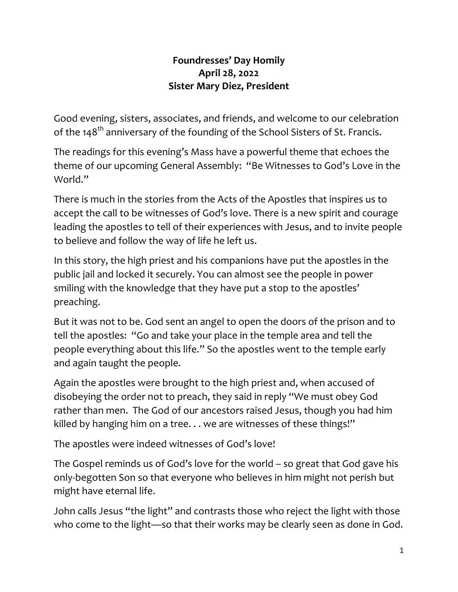## **Foundresses' Day Homily April 28, 2022 Sister Mary Diez, President**

Good evening, sisters, associates, and friends, and welcome to our celebration of the 148<sup>th</sup> anniversary of the founding of the School Sisters of St. Francis.

The readings for this evening's Mass have a powerful theme that echoes the theme of our upcoming General Assembly: "Be Witnesses to God's Love in the World."

There is much in the stories from the Acts of the Apostles that inspires us to accept the call to be witnesses of God's love. There is a new spirit and courage leading the apostles to tell of their experiences with Jesus, and to invite people to believe and follow the way of life he left us.

In this story, the high priest and his companions have put the apostles in the public jail and locked it securely. You can almost see the people in power smiling with the knowledge that they have put a stop to the apostles' preaching.

But it was not to be. God sent an angel to open the doors of the prison and to tell the apostles: "Go and take your place in the temple area and tell the people everything about this life." So the apostles went to the temple early and again taught the people.

Again the apostles were brought to the high priest and, when accused of disobeying the order not to preach, they said in reply "We must obey God rather than men. The God of our ancestors raised Jesus, though you had him killed by hanging him on a tree. . . we are witnesses of these things!"

The apostles were indeed witnesses of God's love!

The Gospel reminds us of God's love for the world – so great that God gave his only-begotten Son so that everyone who believes in him might not perish but might have eternal life.

John calls Jesus "the light" and contrasts those who reject the light with those who come to the light—so that their works may be clearly seen as done in God.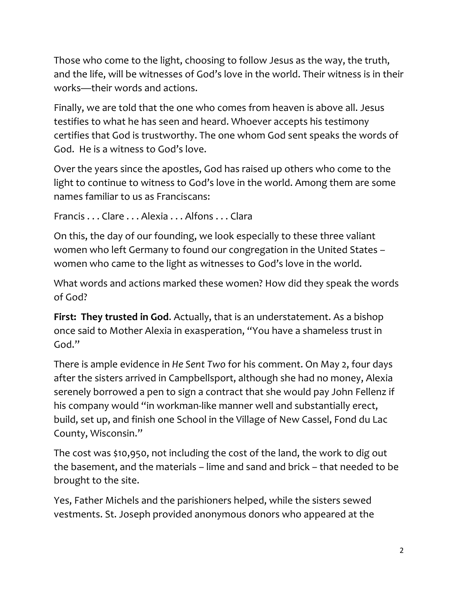Those who come to the light, choosing to follow Jesus as the way, the truth, and the life, will be witnesses of God's love in the world. Their witness is in their works—their words and actions.

Finally, we are told that the one who comes from heaven is above all. Jesus testifies to what he has seen and heard. Whoever accepts his testimony certifies that God is trustworthy. The one whom God sent speaks the words of God. He is a witness to God's love.

Over the years since the apostles, God has raised up others who come to the light to continue to witness to God's love in the world. Among them are some names familiar to us as Franciscans:

Francis . . . Clare . . . Alexia . . . Alfons . . . Clara

On this, the day of our founding, we look especially to these three valiant women who left Germany to found our congregation in the United States – women who came to the light as witnesses to God's love in the world.

What words and actions marked these women? How did they speak the words of God?

**First: They trusted in God**. Actually, that is an understatement. As a bishop once said to Mother Alexia in exasperation, "You have a shameless trust in God."

There is ample evidence in *He Sent Two* for his comment. On May 2, four days after the sisters arrived in Campbellsport, although she had no money, Alexia serenely borrowed a pen to sign a contract that she would pay John Fellenz if his company would "in workman-like manner well and substantially erect, build, set up, and finish one School in the Village of New Cassel, Fond du Lac County, Wisconsin."

The cost was \$10,950, not including the cost of the land, the work to dig out the basement, and the materials – lime and sand and brick – that needed to be brought to the site.

Yes, Father Michels and the parishioners helped, while the sisters sewed vestments. St. Joseph provided anonymous donors who appeared at the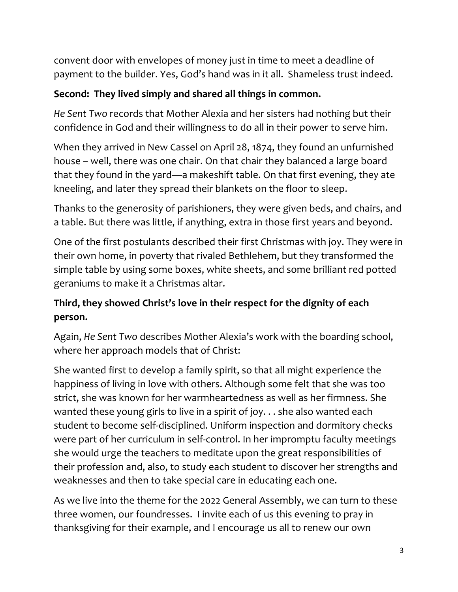convent door with envelopes of money just in time to meet a deadline of payment to the builder. Yes, God's hand was in it all. Shameless trust indeed.

## **Second: They lived simply and shared all things in common.**

*He Sent Two* records that Mother Alexia and her sisters had nothing but their confidence in God and their willingness to do all in their power to serve him.

When they arrived in New Cassel on April 28, 1874, they found an unfurnished house – well, there was one chair. On that chair they balanced a large board that they found in the yard—a makeshift table. On that first evening, they ate kneeling, and later they spread their blankets on the floor to sleep.

Thanks to the generosity of parishioners, they were given beds, and chairs, and a table. But there was little, if anything, extra in those first years and beyond.

One of the first postulants described their first Christmas with joy. They were in their own home, in poverty that rivaled Bethlehem, but they transformed the simple table by using some boxes, white sheets, and some brilliant red potted geraniums to make it a Christmas altar.

## **Third, they showed Christ's love in their respect for the dignity of each person.**

Again, *He Sent Two* describes Mother Alexia's work with the boarding school, where her approach models that of Christ:

She wanted first to develop a family spirit, so that all might experience the happiness of living in love with others. Although some felt that she was too strict, she was known for her warmheartedness as well as her firmness. She wanted these young girls to live in a spirit of joy. . . she also wanted each student to become self-disciplined. Uniform inspection and dormitory checks were part of her curriculum in self-control. In her impromptu faculty meetings she would urge the teachers to meditate upon the great responsibilities of their profession and, also, to study each student to discover her strengths and weaknesses and then to take special care in educating each one.

As we live into the theme for the 2022 General Assembly, we can turn to these three women, our foundresses. I invite each of us this evening to pray in thanksgiving for their example, and I encourage us all to renew our own